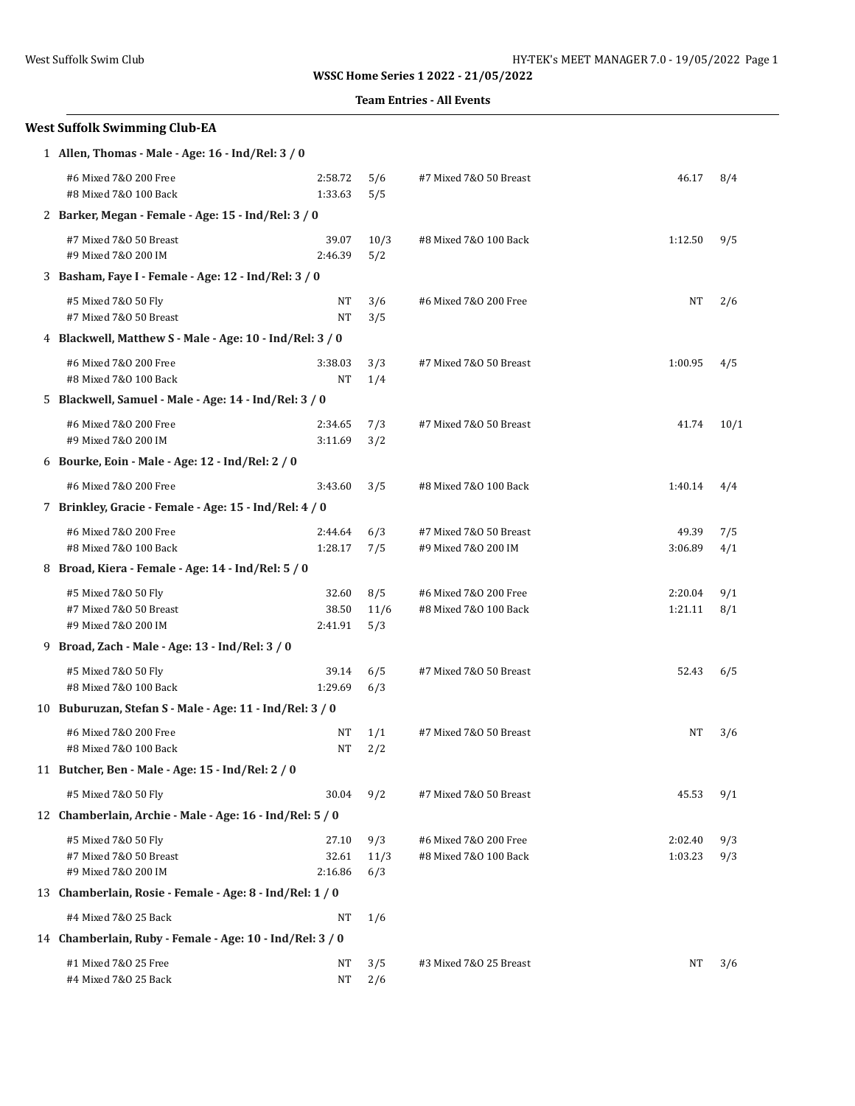|  | <b>Team Entries - All Events</b> |  |  |
|--|----------------------------------|--|--|
|--|----------------------------------|--|--|

# **West Suffolk Swimming Club-EA** 1 **Allen, Thomas - Male - Age: 16 - Ind/Rel: 3 / 0** #6 Mixed 7&O 200 Free 2:58.72 5/6 #7 Mixed 7&O 50 Breast 46.17 8/4 #8 Mixed 7&O 100 Back 1:33.63 5/5 2 **Barker, Megan - Female - Age: 15 - Ind/Rel: 3 / 0** #7 Mixed 7&O 50 Breast 39.07 10/3 #8 Mixed 7&O 100 Back 1:12.50 9/5 #9 Mixed 7&O 200 IM 2:46.39 5/2 3 **Basham, Faye I - Female - Age: 12 - Ind/Rel: 3 / 0** #5 Mixed 7&O 50 Fly NT 3/6 #6 Mixed 7&O 200 Free NT 2/6 #7 Mixed 7&O 50 Breast NT 3/5 4 **Blackwell, Matthew S - Male - Age: 10 - Ind/Rel: 3 / 0** #6 Mixed 7&O 200 Free 3:38.03 3/3 #7 Mixed 7&O 50 Breast 1:00.95 4/5 #8 Mixed 7&0 100 Back NT 1/4 5 **Blackwell, Samuel - Male - Age: 14 - Ind/Rel: 3 / 0** #6 Mixed 7&O 200 Free 2:34.65 7/3 #7 Mixed 7&O 50 Breast 41.74 10/1 #9 Mixed 7&O 200 IM 3:11.69 3/2 6 **Bourke, Eoin - Male - Age: 12 - Ind/Rel: 2 / 0** #6 Mixed 7&O 200 Free 3:43.60 3/5 #8 Mixed 7&O 100 Back 1:40.14 4/4 7 **Brinkley, Gracie - Female - Age: 15 - Ind/Rel: 4 / 0** #6 Mixed 7&O 200 Free 2:44.64 6/3 #7 Mixed 7&O 50 Breast 49.39 7/5 #8 Mixed 7&O 100 Back 1:28.17 7/5 #9 Mixed 7&O 200 IM 3:06.89 4/1 8 **Broad, Kiera - Female - Age: 14 - Ind/Rel: 5 / 0** #5 Mixed 7&O 50 Fly 32.60 8/5 #6 Mixed 7&O 200 Free 2:20.04 9/1 #7 Mixed 7&O 50 Breast 38.50 11/6 #8 Mixed 7&O 100 Back 1:21.11 8/1 #9 Mixed 7&O 200 IM 2:41.91 5/3 9 **Broad, Zach - Male - Age: 13 - Ind/Rel: 3 / 0** #5 Mixed 7&O 50 Fly 39.14 6/5 #7 Mixed 7&O 50 Breast 52.43 6/5 #8 Mixed 7&O 100 Back 1:29.69 6/3 10 **Buburuzan, Stefan S - Male - Age: 11 - Ind/Rel: 3 / 0** #6 Mixed 7&O 200 Free NT 1/1 #7 Mixed 7&O 50 Breast NT 3/6 #8 Mixed 7&0 100 Back NT 2/2 11 **Butcher, Ben - Male - Age: 15 - Ind/Rel: 2 / 0** #5 Mixed 7&O 50 Fly 30.04 9/2 #7 Mixed 7&O 50 Breast 45.53 9/1 12 **Chamberlain, Archie - Male - Age: 16 - Ind/Rel: 5 / 0** #5 Mixed 7&O 50 Fly 27.10 9/3 #6 Mixed 7&O 200 Free 2:02.40 9/3 #7 Mixed 7&O 50 Breast 32.61 11/3 #8 Mixed 7&O 100 Back 1:03.23 9/3 #9 Mixed 7&O 200 IM 2:16.86 6/3

13 **Chamberlain, Rosie - Female - Age: 8 - Ind/Rel: 1 / 0**

14 **Chamberlain, Ruby - Female - Age: 10 - Ind/Rel: 3 / 0**

#4 Mixed 7&0 25 Back NT 1/6

#4 Mixed 7&0 25 Back NT 2/6

#1 Mixed 7&O 25 Free NT 3/5 #3 Mixed 7&O 25 Breast NT 3/6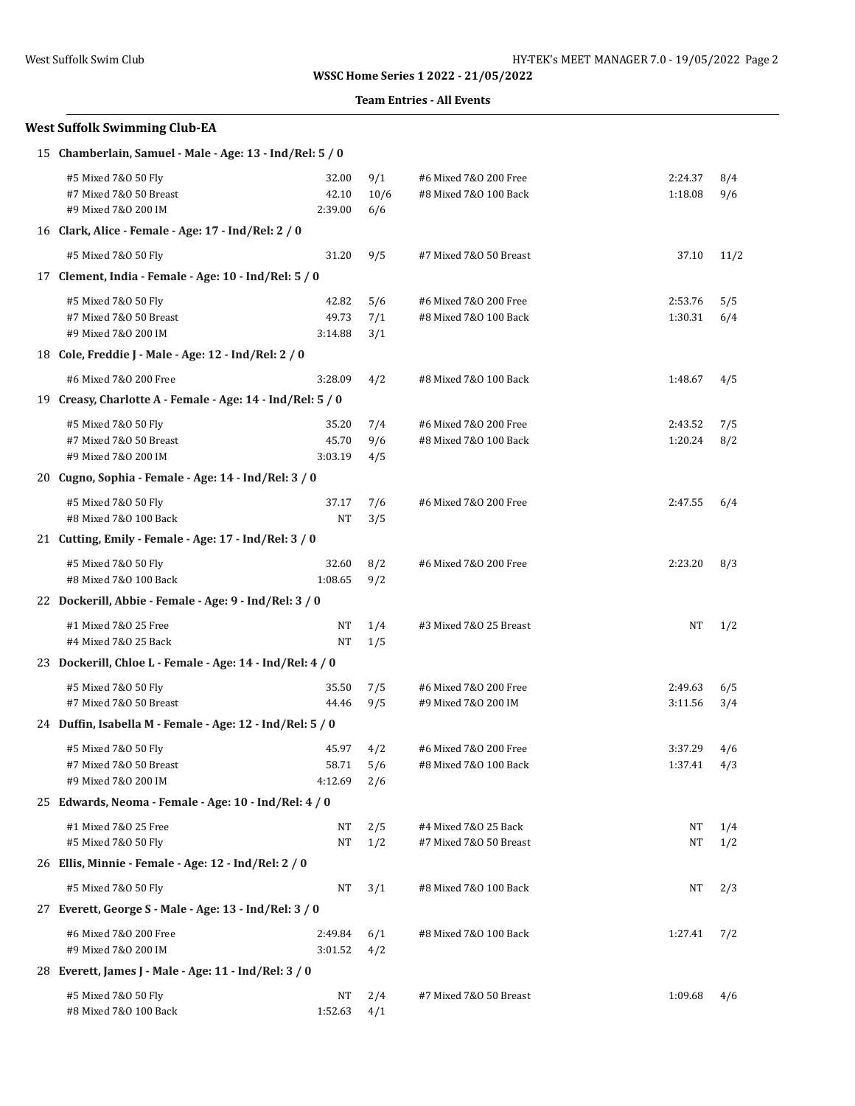### **Team Entries - All Events**

### **West Suffolk Swimming Club-EA**

| 15 Chamberlain, Samuel - Male - Age: 13 - Ind/Rel: 5 / 0                            |                           |                    |                                                |                    |            |
|-------------------------------------------------------------------------------------|---------------------------|--------------------|------------------------------------------------|--------------------|------------|
| #5 Mixed 7&0 50 Fly<br>#7 Mixed 7&0 50 Breast<br>#9 Mixed 7&0 200 IM                | 32.00<br>42.10<br>2:39.00 | 9/1<br>10/6<br>6/6 | #6 Mixed 7&0 200 Free<br>#8 Mixed 7&0 100 Back | 2:24.37<br>1:18.08 | 8/4<br>9/6 |
| 16 Clark, Alice - Female - Age: 17 - Ind/Rel: 2 / 0                                 |                           |                    |                                                |                    |            |
| #5 Mixed 7&0 50 Fly                                                                 | 31.20                     | 9/5                | #7 Mixed 7&0 50 Breast                         | 37.10              | 11/2       |
| 17 Clement, India - Female - Age: 10 - Ind/Rel: 5 / 0                               |                           |                    |                                                |                    |            |
| #5 Mixed 7&0 50 Fly<br>#7 Mixed 7&0 50 Breast<br>#9 Mixed 7&0 200 IM                | 42.82<br>49.73<br>3:14.88 | 5/6<br>7/1<br>3/1  | #6 Mixed 7&0 200 Free<br>#8 Mixed 7&0 100 Back | 2:53.76<br>1:30.31 | 5/5<br>6/4 |
| 18 Cole, Freddie J - Male - Age: 12 - Ind/Rel: 2 / 0                                |                           |                    |                                                |                    |            |
| #6 Mixed 7&0 200 Free<br>19 Creasy, Charlotte A - Female - Age: 14 - Ind/Rel: 5 / 0 | 3:28.09                   | 4/2                | #8 Mixed 7&0 100 Back                          | 1:48.67            | 4/5        |
| #5 Mixed 7&0 50 Fly                                                                 | 35.20                     | 7/4                | #6 Mixed 7&0 200 Free                          | 2:43.52            | 7/5        |
| #7 Mixed 7&0 50 Breast<br>#9 Mixed 7&0 200 IM                                       | 45.70<br>3:03.19          | 9/6<br>4/5         | #8 Mixed 7&0 100 Back                          | 1:20.24            | 8/2        |
| 20 Cugno, Sophia - Female - Age: 14 - Ind/Rel: 3 / 0                                |                           |                    |                                                |                    |            |
| #5 Mixed 7&0 50 Fly<br>#8 Mixed 7&0 100 Back                                        | 37.17<br>NT               | 7/6<br>3/5         | #6 Mixed 7&0 200 Free                          | 2:47.55            | 6/4        |
| 21 Cutting, Emily - Female - Age: 17 - Ind/Rel: 3 / 0                               |                           |                    |                                                |                    |            |
| #5 Mixed 7&0 50 Fly<br>#8 Mixed 7&0 100 Back                                        | 32.60<br>1:08.65          | 8/2<br>9/2         | #6 Mixed 7&0 200 Free                          | 2:23.20            | 8/3        |
| 22 Dockerill, Abbie - Female - Age: 9 - Ind/Rel: 3 / 0                              |                           |                    |                                                |                    |            |
| #1 Mixed 7&0 25 Free<br>#4 Mixed 7&0 25 Back                                        | NT<br>NT                  | 1/4<br>1/5         | #3 Mixed 7&0 25 Breast                         | NT                 | 1/2        |
| 23 Dockerill, Chloe L - Female - Age: 14 - Ind/Rel: 4 / 0                           |                           |                    |                                                |                    |            |
| #5 Mixed 7&0 50 Fly<br>#7 Mixed 7&0 50 Breast                                       | 35.50<br>44.46            | 7/5<br>9/5         | #6 Mixed 7&0 200 Free<br>#9 Mixed 7&0 200 IM   | 2:49.63<br>3:11.56 | 6/5<br>3/4 |
| 24 Duffin, Isabella M - Female - Age: 12 - Ind/Rel: 5 / 0                           |                           |                    |                                                |                    |            |
| #5 Mixed 7&0 50 Fly<br>#7 Mixed 7&0 50 Breast<br>#9 Mixed 7&0 200 IM                | 45.97<br>58.71<br>4:12.69 | 4/2<br>5/6<br>2/6  | #6 Mixed 7&0 200 Free<br>#8 Mixed 7&0 100 Back | 3:37.29<br>1:37.41 | 4/6<br>4/3 |
| 25 Edwards, Neoma - Female - Age: 10 - Ind/Rel: 4 / 0                               |                           |                    |                                                |                    |            |
| #1 Mixed 7&0 25 Free<br>#5 Mixed 7&0 50 Fly                                         | NT<br>NT                  | 2/5<br>1/2         | #4 Mixed 7&0 25 Back<br>#7 Mixed 7&0 50 Breast | NT<br>NT           | 1/4<br>1/2 |
| 26 Ellis, Minnie - Female - Age: 12 - Ind/Rel: 2 / 0                                |                           |                    |                                                |                    |            |
| #5 Mixed 7&0 50 Fly                                                                 | NT                        | 3/1                | #8 Mixed 7&0 100 Back                          | NT                 | 2/3        |
| 27 Everett, George S - Male - Age: 13 - Ind/Rel: 3 / 0                              |                           |                    |                                                |                    |            |
| #6 Mixed 7&0 200 Free<br>#9 Mixed 7&0 200 IM                                        | 2:49.84<br>3:01.52        | 6/1<br>4/2         | #8 Mixed 7&0 100 Back                          | 1:27.41            | 7/2        |
| 28 Everett, James J - Male - Age: 11 - Ind/Rel: 3 / 0                               |                           |                    |                                                |                    |            |
| #5 Mixed 7&0 50 Fly<br>#8 Mixed 7&0 100 Back                                        | NT<br>$1:52.63$ $4/1$     | 2/4                | #7 Mixed 7&0 50 Breast                         | 1:09.68            | 4/6        |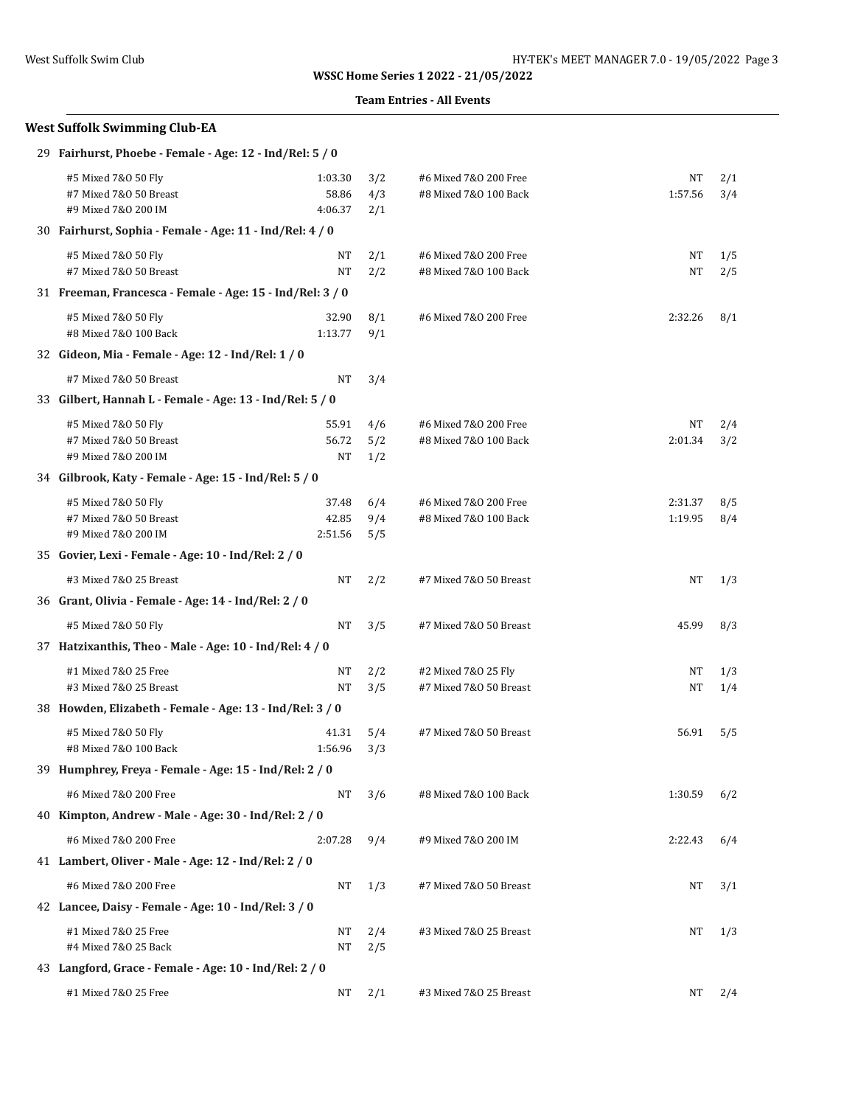### **Team Entries - All Events**

# **West Suffolk Swimming Club-EA**

| 29 Fairhurst, Phoebe - Female - Age: 12 - Ind/Rel: 5 / 0             |                             |                   |                                                |                    |            |
|----------------------------------------------------------------------|-----------------------------|-------------------|------------------------------------------------|--------------------|------------|
| #5 Mixed 7&0 50 Fly<br>#7 Mixed 7&0 50 Breast<br>#9 Mixed 7&0 200 IM | 1:03.30<br>58.86<br>4:06.37 | 3/2<br>4/3<br>2/1 | #6 Mixed 7&0 200 Free<br>#8 Mixed 7&0 100 Back | NT<br>1:57.56      | 2/1<br>3/4 |
| 30 Fairhurst, Sophia - Female - Age: 11 - Ind/Rel: 4 / 0             |                             |                   |                                                |                    |            |
| #5 Mixed 7&0 50 Fly<br>#7 Mixed 7&0 50 Breast                        | NT<br>NT                    | 2/1<br>2/2        | #6 Mixed 7&0 200 Free<br>#8 Mixed 7&0 100 Back | NT<br>NT           | 1/5<br>2/5 |
| 31 Freeman, Francesca - Female - Age: 15 - Ind/Rel: 3 / 0            |                             |                   |                                                |                    |            |
| #5 Mixed 7&0 50 Fly<br>#8 Mixed 7&0 100 Back                         | 32.90<br>1:13.77            | 8/1<br>9/1        | #6 Mixed 7&0 200 Free                          | 2:32.26            | 8/1        |
| 32 Gideon, Mia - Female - Age: 12 - Ind/Rel: 1 / 0                   |                             |                   |                                                |                    |            |
| #7 Mixed 7&0 50 Breast                                               | NT                          | 3/4               |                                                |                    |            |
| 33 Gilbert, Hannah L - Female - Age: 13 - Ind/Rel: 5 / 0             |                             |                   |                                                |                    |            |
| #5 Mixed 7&0 50 Fly<br>#7 Mixed 7&0 50 Breast<br>#9 Mixed 7&0 200 IM | 55.91<br>56.72<br>NT        | 4/6<br>5/2<br>1/2 | #6 Mixed 7&0 200 Free<br>#8 Mixed 7&0 100 Back | NT<br>2:01.34      | 2/4<br>3/2 |
| 34 Gilbrook, Katy - Female - Age: 15 - Ind/Rel: 5 / 0                |                             |                   |                                                |                    |            |
| #5 Mixed 7&0 50 Fly<br>#7 Mixed 7&0 50 Breast<br>#9 Mixed 7&0 200 IM | 37.48<br>42.85<br>2:51.56   | 6/4<br>9/4<br>5/5 | #6 Mixed 7&0 200 Free<br>#8 Mixed 7&0 100 Back | 2:31.37<br>1:19.95 | 8/5<br>8/4 |
| 35 Govier, Lexi - Female - Age: 10 - Ind/Rel: 2 / 0                  |                             |                   |                                                |                    |            |
| #3 Mixed 7&0 25 Breast                                               | NT                          | 2/2               | #7 Mixed 7&0 50 Breast                         | NT                 | 1/3        |
| 36 Grant, Olivia - Female - Age: 14 - Ind/Rel: 2 / 0                 |                             |                   |                                                |                    |            |
| #5 Mixed 7&0 50 Fly                                                  | NT                          | 3/5               | #7 Mixed 7&0 50 Breast                         | 45.99              | 8/3        |
| 37 Hatzixanthis, Theo - Male - Age: 10 - Ind/Rel: 4 / 0              |                             |                   |                                                |                    |            |
| #1 Mixed 7&0 25 Free<br>#3 Mixed 7&0 25 Breast                       | NT<br>NT                    | 2/2<br>3/5        | #2 Mixed 7&0 25 Fly<br>#7 Mixed 7&0 50 Breast  | NT<br>NT           | 1/3<br>1/4 |
| 38 Howden, Elizabeth - Female - Age: 13 - Ind/Rel: 3 / 0             |                             |                   |                                                |                    |            |
| #5 Mixed 7&0 50 Fly<br>#8 Mixed 7&0 100 Back                         | 41.31<br>1:56.96            | 5/4<br>3/3        | #7 Mixed 7&0 50 Breast                         | 56.91              | 5/5        |
| 39 Humphrey, Freya - Female - Age: 15 - Ind/Rel: 2 / 0               |                             |                   |                                                |                    |            |
| #6 Mixed 7&0 200 Free                                                | NT                          | 3/6               | #8 Mixed 7&0 100 Back                          | 1:30.59            | 6/2        |
| 40 Kimpton, Andrew - Male - Age: 30 - Ind/Rel: 2 / 0                 |                             |                   |                                                |                    |            |
| #6 Mixed 7&0 200 Free                                                | 2:07.28                     | 9/4               | #9 Mixed 7&0 200 IM                            | 2:22.43            | 6/4        |
| 41 Lambert, Oliver - Male - Age: 12 - Ind/Rel: 2 / 0                 |                             |                   |                                                |                    |            |
| #6 Mixed 7&0 200 Free                                                | NT                          | 1/3               | #7 Mixed 7&0 50 Breast                         | NT                 | 3/1        |
| 42 Lancee, Daisy - Female - Age: 10 - Ind/Rel: 3 / 0                 |                             |                   |                                                |                    |            |
| #1 Mixed 7&0 25 Free<br>#4 Mixed 7&0 25 Back                         | NT<br>NT                    | 2/4<br>2/5        | #3 Mixed 7&0 25 Breast                         | NT                 | 1/3        |
| 43 Langford, Grace - Female - Age: 10 - Ind/Rel: 2 / 0               |                             |                   |                                                |                    |            |
| #1 Mixed 7&0 25 Free                                                 | NT                          | 2/1               | #3 Mixed 7&0 25 Breast                         | NT                 | 2/4        |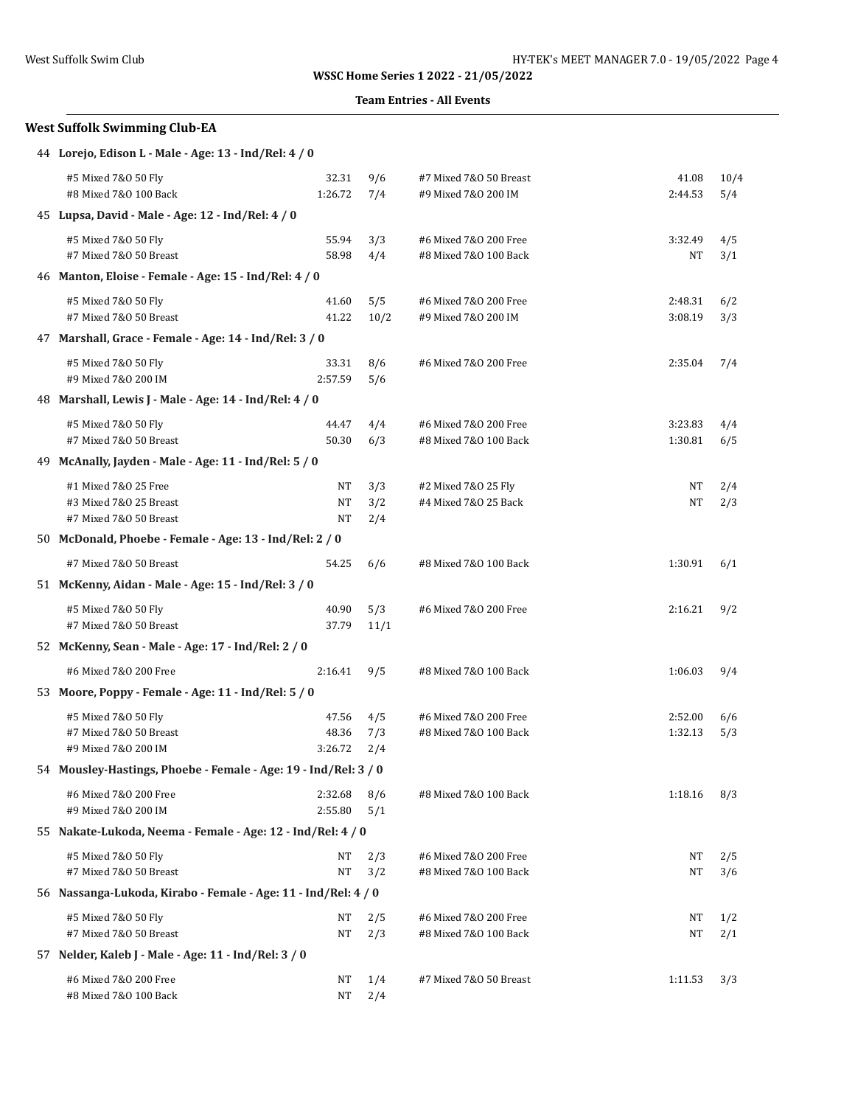### **Team Entries - All Events**

## **West Suffolk Swimming Club-EA**

| 44 Lorejo, Edison L - Male - Age: 13 - Ind/Rel: 4 / 0 |  |  |
|-------------------------------------------------------|--|--|
|                                                       |  |  |

| #5 Mixed 7&0 50 Fly                                             | 32.31     | 9/6  | #7 Mixed 7&0 50 Breast | 41.08     | 10/4 |
|-----------------------------------------------------------------|-----------|------|------------------------|-----------|------|
| #8 Mixed 7&0 100 Back                                           | 1:26.72   | 7/4  | #9 Mixed 7&0 200 IM    | 2:44.53   | 5/4  |
| 45 Lupsa, David - Male - Age: 12 - Ind/Rel: 4 / 0               |           |      |                        |           |      |
| #5 Mixed 7&0 50 Fly                                             | 55.94     | 3/3  | #6 Mixed 7&0 200 Free  | 3:32.49   | 4/5  |
| #7 Mixed 7&0 50 Breast                                          | 58.98     | 4/4  | #8 Mixed 7&0 100 Back  | NT        | 3/1  |
| 46 Manton, Eloise - Female - Age: 15 - Ind/Rel: 4 / 0           |           |      |                        |           |      |
| #5 Mixed 7&0 50 Fly                                             | 41.60     | 5/5  | #6 Mixed 7&0 200 Free  | 2:48.31   | 6/2  |
| #7 Mixed 7&0 50 Breast                                          | 41.22     | 10/2 | #9 Mixed 7&0 200 IM    | 3:08.19   | 3/3  |
| 47 Marshall, Grace - Female - Age: 14 - Ind/Rel: 3 / 0          |           |      |                        |           |      |
| #5 Mixed 7&0 50 Fly                                             | 33.31     | 8/6  | #6 Mixed 7&0 200 Free  | 2:35.04   | 7/4  |
| #9 Mixed 7&0 200 IM                                             | 2:57.59   | 5/6  |                        |           |      |
| 48 Marshall, Lewis J - Male - Age: 14 - Ind/Rel: 4 / 0          |           |      |                        |           |      |
| #5 Mixed 7&0 50 Fly                                             | 44.47     | 4/4  | #6 Mixed 7&0 200 Free  | 3:23.83   | 4/4  |
| #7 Mixed 7&0 50 Breast                                          | 50.30     | 6/3  | #8 Mixed 7&0 100 Back  | 1:30.81   | 6/5  |
| 49 McAnally, Jayden - Male - Age: 11 - Ind/Rel: 5 / 0           |           |      |                        |           |      |
| #1 Mixed 7&0 25 Free                                            | NT        | 3/3  | #2 Mixed 7&0 25 Fly    | NT        | 2/4  |
| #3 Mixed 7&0 25 Breast                                          | NT        | 3/2  | #4 Mixed 7&0 25 Back   | <b>NT</b> | 2/3  |
| #7 Mixed 7&0 50 Breast                                          | NT        | 2/4  |                        |           |      |
| 50 McDonald, Phoebe - Female - Age: 13 - Ind/Rel: 2 / 0         |           |      |                        |           |      |
| #7 Mixed 7&0 50 Breast                                          | 54.25     | 6/6  | #8 Mixed 7&0 100 Back  | 1:30.91   | 6/1  |
| 51 McKenny, Aidan - Male - Age: 15 - Ind/Rel: 3 / 0             |           |      |                        |           |      |
| #5 Mixed 7&0 50 Fly                                             | 40.90     | 5/3  | #6 Mixed 7&0 200 Free  | 2:16.21   | 9/2  |
| #7 Mixed 7&0 50 Breast                                          | 37.79     | 11/1 |                        |           |      |
| 52 McKenny, Sean - Male - Age: 17 - Ind/Rel: 2 / 0              |           |      |                        |           |      |
| #6 Mixed 7&0 200 Free                                           | 2:16.41   | 9/5  | #8 Mixed 7&0 100 Back  | 1:06.03   | 9/4  |
| 53 Moore, Poppy - Female - Age: 11 - Ind/Rel: 5 / 0             |           |      |                        |           |      |
| #5 Mixed 7&0 50 Fly                                             | 47.56     | 4/5  | #6 Mixed 7&0 200 Free  | 2:52.00   | 6/6  |
| #7 Mixed 7&0 50 Breast                                          | 48.36     | 7/3  | #8 Mixed 7&0 100 Back  | 1:32.13   | 5/3  |
| #9 Mixed 7&0 200 IM                                             | 3:26.72   | 2/4  |                        |           |      |
| 54 Mousley-Hastings, Phoebe - Female - Age: 19 - Ind/Rel: 3 / 0 |           |      |                        |           |      |
| #6 Mixed 7&0 200 Free                                           | 2:32.68   | 8/6  | #8 Mixed 7&0 100 Back  | 1:18.16   | 8/3  |
| #9 Mixed 7&0 200 IM                                             | 2:55.80   | 5/1  |                        |           |      |
| 55 Nakate-Lukoda, Neema - Female - Age: 12 - Ind/Rel: 4 / 0     |           |      |                        |           |      |
| #5 Mixed 7&0 50 Fly                                             | NT        | 2/3  | #6 Mixed 7&0 200 Free  | NT        | 2/5  |
| #7 Mixed 7&0 50 Breast                                          | NT        | 3/2  | #8 Mixed 7&0 100 Back  | NT        | 3/6  |
| 56 Nassanga-Lukoda, Kirabo - Female - Age: 11 - Ind/Rel: 4 / 0  |           |      |                        |           |      |
| #5 Mixed 7&0 50 Fly                                             | NT        | 2/5  | #6 Mixed 7&0 200 Free  | NΤ        | 1/2  |
| #7 Mixed 7&0 50 Breast                                          | NT        | 2/3  | #8 Mixed 7&0 100 Back  | NT        | 2/1  |
| 57 Nelder, Kaleb J - Male - Age: 11 - Ind/Rel: 3 / 0            |           |      |                        |           |      |
| #6 Mixed 7&0 200 Free                                           | <b>NT</b> | 1/4  | #7 Mixed 7&0 50 Breast | 1:11.53   | 3/3  |
| #8 Mixed 7&0 100 Back                                           | NT        | 2/4  |                        |           |      |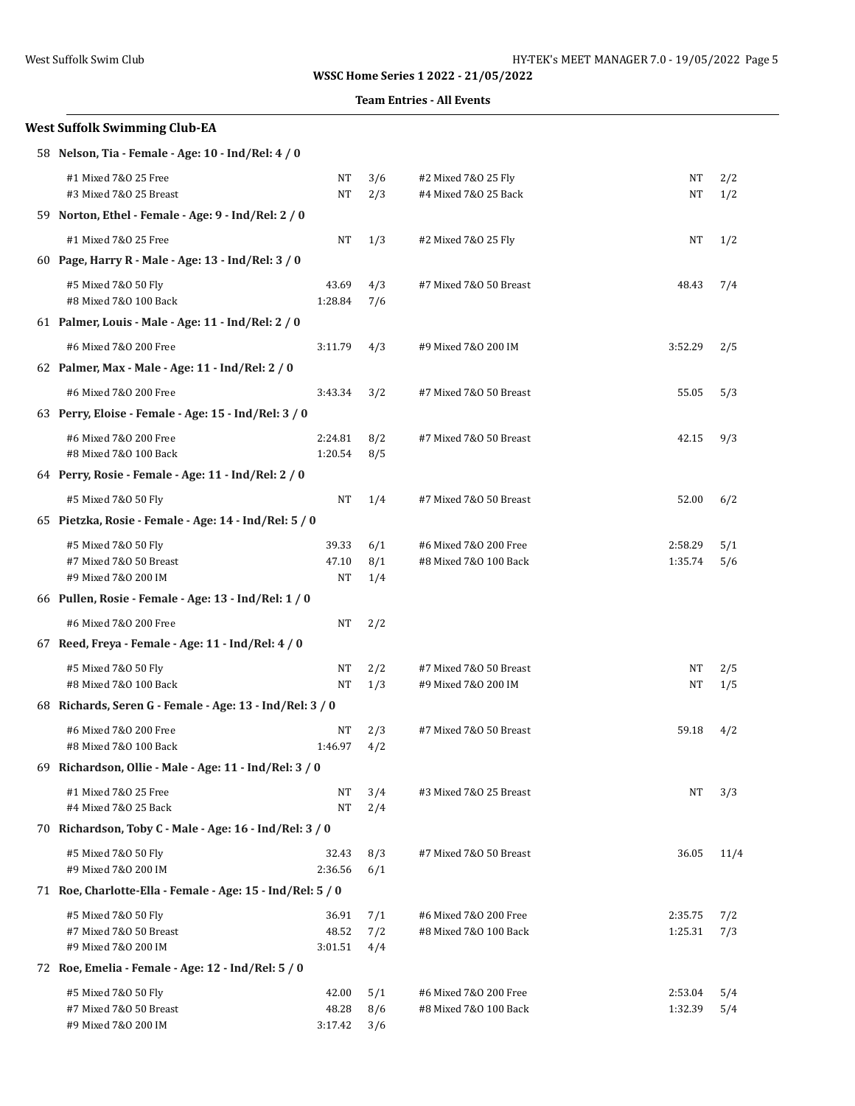### **Team Entries - All Events**

## **West Suffolk Swimming Club-EA**

| 58 Nelson, Tia - Female - Age: 10 - Ind/Rel: 4 / 0 |  |  |  |  |  |  |  |  |  |
|----------------------------------------------------|--|--|--|--|--|--|--|--|--|
|----------------------------------------------------|--|--|--|--|--|--|--|--|--|

| #1 Mixed 7&0 25 Free                                       | NT               | 3/6        | #2 Mixed 7&0 25 Fly    | NT                 | 2/2        |
|------------------------------------------------------------|------------------|------------|------------------------|--------------------|------------|
| #3 Mixed 7&0 25 Breast                                     | NT               | 2/3        | #4 Mixed 7&0 25 Back   | NT                 | 1/2        |
| 59 Norton, Ethel - Female - Age: 9 - Ind/Rel: 2 / 0        |                  |            |                        |                    |            |
| #1 Mixed 7&0 25 Free                                       | NT               | 1/3        | #2 Mixed 7&0 25 Fly    | NT                 | 1/2        |
| 60 Page, Harry R - Male - Age: 13 - Ind/Rel: 3 / 0         |                  |            |                        |                    |            |
| #5 Mixed 7&0 50 Fly                                        | 43.69            | 4/3        | #7 Mixed 7&0 50 Breast | 48.43              | 7/4        |
| #8 Mixed 7&0 100 Back                                      | 1:28.84          | 7/6        |                        |                    |            |
| 61 Palmer, Louis - Male - Age: 11 - Ind/Rel: 2 / 0         |                  |            |                        |                    |            |
| #6 Mixed 7&0 200 Free                                      | 3:11.79          | 4/3        | #9 Mixed 7&0 200 IM    | 3:52.29            | 2/5        |
| 62 Palmer, Max - Male - Age: 11 - Ind/Rel: 2 / 0           |                  |            |                        |                    |            |
| #6 Mixed 7&0 200 Free                                      | 3:43.34          | 3/2        | #7 Mixed 7&0 50 Breast | 55.05              | 5/3        |
| 63 Perry, Eloise - Female - Age: 15 - Ind/Rel: 3 / 0       |                  |            |                        |                    |            |
| #6 Mixed 7&0 200 Free                                      | 2:24.81          | 8/2        | #7 Mixed 7&0 50 Breast | 42.15              | 9/3        |
| #8 Mixed 7&0 100 Back                                      | 1:20.54          | 8/5        |                        |                    |            |
| 64 Perry, Rosie - Female - Age: 11 - Ind/Rel: 2 / 0        |                  |            |                        |                    |            |
| #5 Mixed 7&0 50 Fly                                        | NT               | 1/4        | #7 Mixed 7&0 50 Breast | 52.00              | 6/2        |
| 65 Pietzka, Rosie - Female - Age: 14 - Ind/Rel: 5 / 0      |                  |            |                        |                    |            |
| #5 Mixed 7&0 50 Fly                                        | 39.33            | 6/1        | #6 Mixed 7&0 200 Free  | 2:58.29            | 5/1        |
| #7 Mixed 7&0 50 Breast                                     | 47.10            | 8/1        | #8 Mixed 7&0 100 Back  | 1:35.74            | 5/6        |
| #9 Mixed 7&0 200 IM                                        | NT               | 1/4        |                        |                    |            |
| 66 Pullen, Rosie - Female - Age: 13 - Ind/Rel: 1 / 0       |                  |            |                        |                    |            |
| #6 Mixed 7&0 200 Free                                      | NT               | 2/2        |                        |                    |            |
| 67 Reed, Freya - Female - Age: 11 - Ind/Rel: 4 / 0         |                  |            |                        |                    |            |
| #5 Mixed 7&0 50 Fly                                        | NT               | 2/2        | #7 Mixed 7&0 50 Breast | NT                 | 2/5        |
| #8 Mixed 7&0 100 Back                                      | NT               | 1/3        | #9 Mixed 7&0 200 IM    | NT                 | 1/5        |
| 68 Richards, Seren G - Female - Age: 13 - Ind/Rel: 3 / 0   |                  |            |                        |                    |            |
| #6 Mixed 7&0 200 Free                                      | NT               | 2/3        | #7 Mixed 7&0 50 Breast | 59.18              | 4/2        |
| #8 Mixed 7&0 100 Back                                      | 1:46.97          | 4/2        |                        |                    |            |
| 69 Richardson, Ollie - Male - Age: 11 - Ind/Rel: 3 / 0     |                  |            |                        |                    |            |
| #1 Mixed 7&0 25 Free<br>#4 Mixed 7&0 25 Back               | NT<br>NT         | 3/4<br>2/4 | #3 Mixed 7&0 25 Breast | NT                 | 3/3        |
| 70 Richardson, Toby C - Male - Age: 16 - Ind/Rel: 3 / 0    |                  |            |                        |                    |            |
|                                                            |                  |            |                        |                    |            |
| #5 Mixed 7&0 50 Fly<br>#9 Mixed 7&0 200 IM                 | 32.43<br>2:36.56 | 8/3<br>6/1 | #7 Mixed 7&0 50 Breast | 36.05              | 11/4       |
| 71 Roe, Charlotte-Ella - Female - Age: 15 - Ind/Rel: 5 / 0 |                  |            |                        |                    |            |
|                                                            |                  |            | #6 Mixed 7&0 200 Free  |                    |            |
| #5 Mixed 7&0 50 Fly<br>#7 Mixed 7&0 50 Breast              | 36.91<br>48.52   | 7/1<br>7/2 | #8 Mixed 7&0 100 Back  | 2:35.75<br>1:25.31 | 7/2<br>7/3 |
| #9 Mixed 7&0 200 IM                                        | 3:01.51          | 4/4        |                        |                    |            |
| 72 Roe, Emelia - Female - Age: 12 - Ind/Rel: 5 / 0         |                  |            |                        |                    |            |
| #5 Mixed 7&0 50 Fly                                        | 42.00            | 5/1        | #6 Mixed 7&0 200 Free  | 2:53.04            | 5/4        |
| #7 Mixed 7&0 50 Breast                                     | 48.28            | 8/6        | #8 Mixed 7&0 100 Back  | 1:32.39            | 5/4        |
| #9 Mixed 7&0 200 IM                                        | 3:17.42          | 3/6        |                        |                    |            |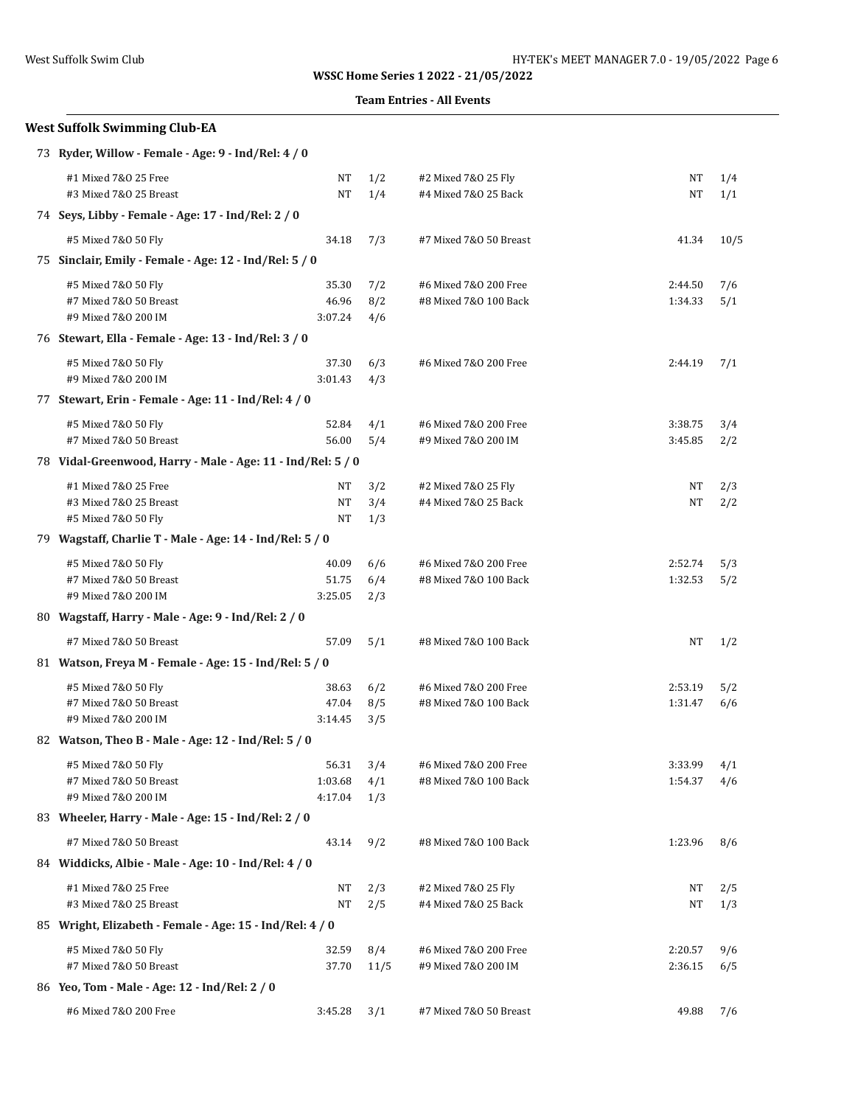### **Team Entries - All Events**

| <b>West Suffolk Swimming Club-EA</b>                                               |         |      |                        |         |      |
|------------------------------------------------------------------------------------|---------|------|------------------------|---------|------|
| 73 Ryder, Willow - Female - Age: 9 - Ind/Rel: 4 / 0                                |         |      |                        |         |      |
| #1 Mixed 7&0 25 Free                                                               | NT      | 1/2  | #2 Mixed 7&0 25 Fly    | NT      | 1/4  |
| #3 Mixed 7&0 25 Breast                                                             | NT      | 1/4  | #4 Mixed 7&0 25 Back   | NΤ      | 1/1  |
| 74 Seys, Libby - Female - Age: 17 - Ind/Rel: 2 / 0                                 |         |      |                        |         |      |
| #5 Mixed 7&0 50 Fly                                                                | 34.18   | 7/3  | #7 Mixed 7&0 50 Breast | 41.34   | 10/5 |
| 75 Sinclair, Emily - Female - Age: 12 - Ind/Rel: 5 / 0                             |         |      |                        |         |      |
| #5 Mixed 7&0 50 Fly                                                                | 35.30   | 7/2  | #6 Mixed 7&0 200 Free  | 2:44.50 | 7/6  |
| #7 Mixed 7&0 50 Breast                                                             | 46.96   | 8/2  | #8 Mixed 7&0 100 Back  | 1:34.33 | 5/1  |
| #9 Mixed 7&0 200 IM                                                                | 3:07.24 | 4/6  |                        |         |      |
| 76 Stewart, Ella - Female - Age: 13 - Ind/Rel: 3 / 0                               |         |      |                        |         |      |
| #5 Mixed 7&0 50 Fly                                                                | 37.30   | 6/3  | #6 Mixed 7&0 200 Free  | 2:44.19 | 7/1  |
| #9 Mixed 7&0 200 IM                                                                | 3:01.43 | 4/3  |                        |         |      |
| 77 Stewart, Erin - Female - Age: 11 - Ind/Rel: 4 / 0                               |         |      |                        |         |      |
| #5 Mixed 7&0 50 Fly                                                                | 52.84   | 4/1  | #6 Mixed 7&0 200 Free  | 3:38.75 | 3/4  |
| #7 Mixed 7&0 50 Breast                                                             | 56.00   | 5/4  | #9 Mixed 7&0 200 IM    | 3:45.85 | 2/2  |
| 78 Vidal-Greenwood, Harry - Male - Age: 11 - Ind/Rel: 5 / 0                        |         |      |                        |         |      |
| #1 Mixed 7&0 25 Free                                                               | NΤ      | 3/2  | #2 Mixed 7&0 25 Fly    | NΤ      | 2/3  |
| #3 Mixed 7&0 25 Breast                                                             | NΤ      | 3/4  | #4 Mixed 7&0 25 Back   | NΤ      | 2/2  |
| #5 Mixed 7&0 50 Fly                                                                | NT      | 1/3  |                        |         |      |
| 79 Wagstaff, Charlie T - Male - Age: 14 - Ind/Rel: 5 / 0                           |         |      |                        |         |      |
| #5 Mixed 7&0 50 Fly                                                                | 40.09   | 6/6  | #6 Mixed 7&0 200 Free  | 2:52.74 | 5/3  |
| #7 Mixed 7&0 50 Breast                                                             | 51.75   | 6/4  | #8 Mixed 7&0 100 Back  | 1:32.53 | 5/2  |
| #9 Mixed 7&0 200 IM                                                                | 3:25.05 | 2/3  |                        |         |      |
| 80 Wagstaff, Harry - Male - Age: 9 - Ind/Rel: 2 / 0                                |         |      |                        |         |      |
| #7 Mixed 7&0 50 Breast                                                             | 57.09   | 5/1  | #8 Mixed 7&0 100 Back  | NΤ      | 1/2  |
| 81 Watson, Freya M - Female - Age: 15 - Ind/Rel: 5 / 0                             |         |      |                        |         |      |
| #5 Mixed 7&0 50 Fly                                                                | 38.63   | 6/2  | #6 Mixed 7&0 200 Free  | 2:53.19 | 5/2  |
| #7 Mixed 7&0 50 Breast                                                             | 47.04   | 8/5  | #8 Mixed 7&0 100 Back  | 1:31.47 | 6/6  |
| #9 Mixed 7&0 200 IM                                                                | 3:14.45 | 3/5  |                        |         |      |
| 82 Watson, Theo B - Male - Age: 12 - Ind/Rel: 5 / 0                                |         |      |                        |         |      |
| #5 Mixed 7&0 50 Fly                                                                | 56.31   | 3/4  | #6 Mixed 7&0 200 Free  | 3:33.99 | 4/1  |
| #7 Mixed 7&0 50 Breast<br>#9 Mixed 7&0 200 IM                                      | 1:03.68 | 4/1  | #8 Mixed 7&0 100 Back  | 1:54.37 | 4/6  |
| 83 Wheeler, Harry - Male - Age: 15 - Ind/Rel: 2 / 0                                | 4:17.04 | 1/3  |                        |         |      |
|                                                                                    |         |      |                        |         |      |
| #7 Mixed 7&0 50 Breast<br>84 Widdicks, Albie - Male - Age: 10 - Ind/Rel: 4 / 0     | 43.14   | 9/2  | #8 Mixed 7&0 100 Back  | 1:23.96 | 8/6  |
|                                                                                    |         |      |                        |         |      |
| #1 Mixed 7&0 25 Free                                                               | NT      | 2/3  | #2 Mixed 7&0 25 Fly    | NT      | 2/5  |
| #3 Mixed 7&0 25 Breast<br>85 Wright, Elizabeth - Female - Age: 15 - Ind/Rel: 4 / 0 | NT      | 2/5  | #4 Mixed 7&0 25 Back   | NΤ      | 1/3  |
|                                                                                    |         |      |                        |         |      |
| #5 Mixed 7&0 50 Fly                                                                | 32.59   | 8/4  | #6 Mixed 7&0 200 Free  | 2:20.57 | 9/6  |
| #7 Mixed 7&0 50 Breast                                                             | 37.70   | 11/5 | #9 Mixed 7&0 200 IM    | 2:36.15 | 6/5  |
| 86 Yeo, Tom - Male - Age: 12 - Ind/Rel: 2 / 0                                      |         |      |                        |         |      |
| #6 Mixed 7&0 200 Free                                                              | 3:45.28 | 3/1  | #7 Mixed 7&0 50 Breast | 49.88   | 7/6  |